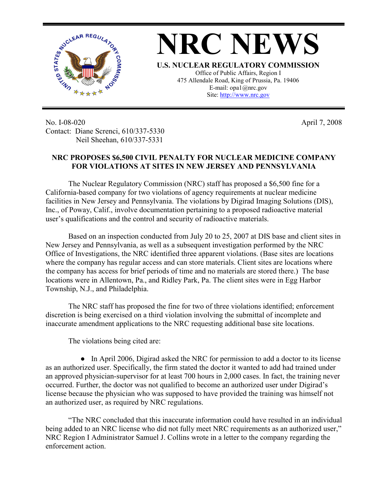

No. I-08-020 Contact: Diane Screnci, 610/337-5330 Neil Sheehan, 610/337-5331

## **NRC PROPOSES \$6,500 CIVIL PENALTY FOR NUCLEAR MEDICINE COMPANY FOR VIOLATIONS AT SITES IN NEW JERSEY AND PENNSYLVANIA**

April 7, 2008

The Nuclear Regulatory Commission (NRC) staff has proposed a \$6,500 fine for a California-based company for two violations of agency requirements at nuclear medicine facilities in New Jersey and Pennsylvania. The violations by Digirad Imaging Solutions (DIS), Inc., of Poway, Calif., involve documentation pertaining to a proposed radioactive material user's qualifications and the control and security of radioactive materials.

Based on an inspection conducted from July 20 to 25, 2007 at DIS base and client sites in New Jersey and Pennsylvania, as well as a subsequent investigation performed by the NRC Office of Investigations, the NRC identified three apparent violations. (Base sites are locations where the company has regular access and can store materials. Client sites are locations where the company has access for brief periods of time and no materials are stored there.) The base locations were in Allentown, Pa., and Ridley Park, Pa. The client sites were in Egg Harbor Township, N.J., and Philadelphia.

 The NRC staff has proposed the fine for two of three violations identified; enforcement discretion is being exercised on a third violation involving the submittal of incomplete and inaccurate amendment applications to the NRC requesting additional base site locations.

The violations being cited are:

• In April 2006, Digirad asked the NRC for permission to add a doctor to its license as an authorized user. Specifically, the firm stated the doctor it wanted to add had trained under an approved physician-supervisor for at least 700 hours in 2,000 cases. In fact, the training never occurred. Further, the doctor was not qualified to become an authorized user under Digirad's license because the physician who was supposed to have provided the training was himself not an authorized user, as required by NRC regulations.

"The NRC concluded that this inaccurate information could have resulted in an individual being added to an NRC license who did not fully meet NRC requirements as an authorized user," NRC Region I Administrator Samuel J. Collins wrote in a letter to the company regarding the enforcement action.